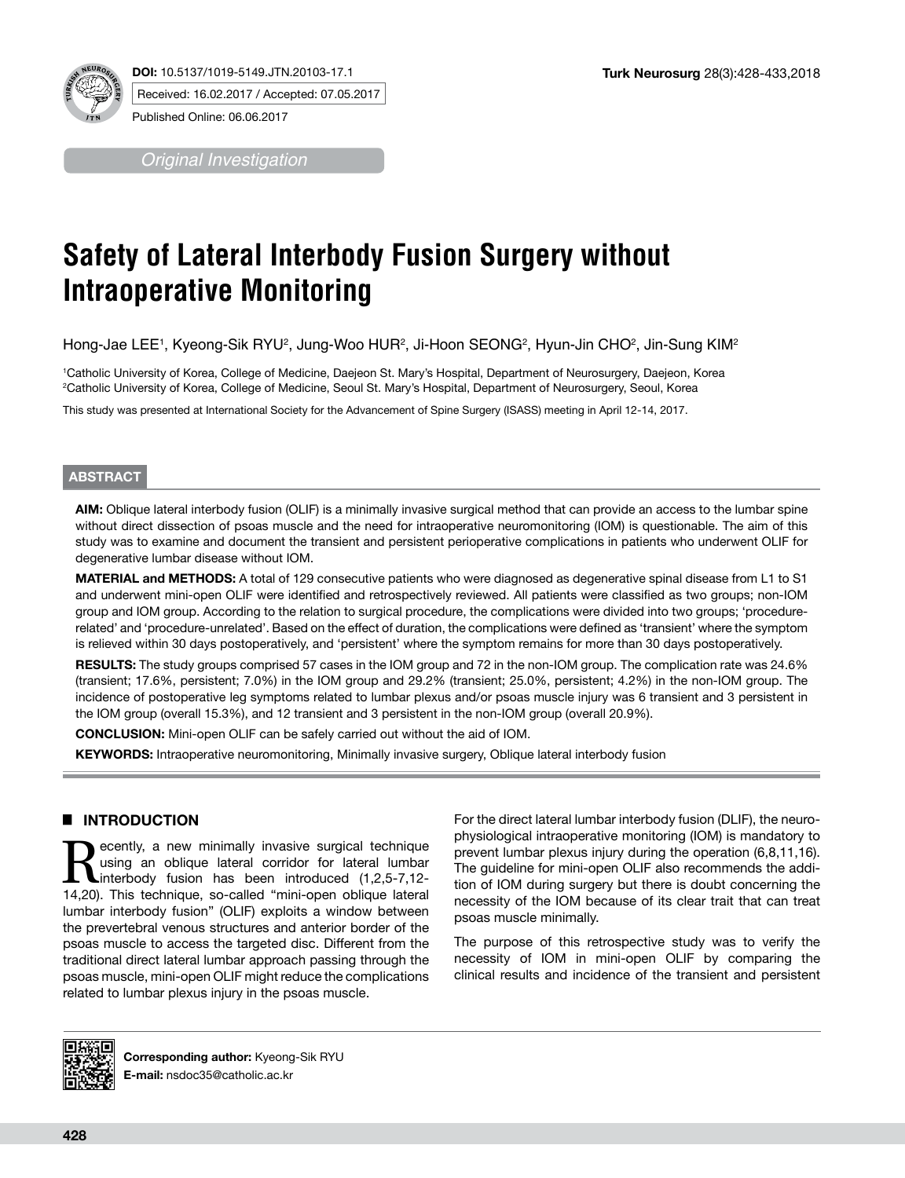

*Original Investigation*

# **Safety of Lateral Interbody Fusion Surgery without Intraoperative Monitoring**

Hong-Jae LEE1, Kyeong-Sik RYU², Jung-Woo HUR², Ji-Hoon SEONG², Hyun-Jin CHO², Jin-Sung KIM'

1 Catholic University of Korea, College of Medicine, Daejeon St. Mary's Hospital, Department of Neurosurgery, Daejeon, Korea 2 Catholic University of Korea, College of Medicine, Seoul St. Mary's Hospital, Department of Neurosurgery, Seoul, Korea

This study was presented at International Society for the Advancement of Spine Surgery (ISASS) meeting in April 12-14, 2017.

### **ABSTRACT**

**AIM:** Oblique lateral interbody fusion (OLIF) is a minimally invasive surgical method that can provide an access to the lumbar spine without direct dissection of psoas muscle and the need for intraoperative neuromonitoring (IOM) is questionable. The aim of this study was to examine and document the transient and persistent perioperative complications in patients who underwent OLIF for degenerative lumbar disease without IOM.

**MATERIAL and METHODS:** A total of 129 consecutive patients who were diagnosed as degenerative spinal disease from L1 to S1 and underwent mini-open OLIF were identified and retrospectively reviewed. All patients were classified as two groups; non-IOM group and IOM group. According to the relation to surgical procedure, the complications were divided into two groups; 'procedurerelated' and 'procedure-unrelated'. Based on the effect of duration, the complications were defined as 'transient' where the symptom is relieved within 30 days postoperatively, and 'persistent' where the symptom remains for more than 30 days postoperatively.

**RESULTS:** The study groups comprised 57 cases in the IOM group and 72 in the non-IOM group. The complication rate was 24.6% (transient; 17.6%, persistent; 7.0%) in the IOM group and 29.2% (transient; 25.0%, persistent; 4.2%) in the non-IOM group. The incidence of postoperative leg symptoms related to lumbar plexus and/or psoas muscle injury was 6 transient and 3 persistent in the IOM group (overall 15.3%), and 12 transient and 3 persistent in the non-IOM group (overall 20.9%).

**CONCLUSION:** Mini-open OLIF can be safely carried out without the aid of IOM.

**KEYWORDS:** Intraoperative neuromonitoring, Minimally invasive surgery, Oblique lateral interbody fusion

# █ **INTRODUCTION**

Recently, a new minimally invasive surgical technique<br>
using an oblique lateral corridor for lateral lumbar<br>
interbody fusion has been introduced (1,2,5-7,12-<br>
14.20) This technique so-called "mini-open oblique lateral using an oblique lateral corridor for lateral lumbar 14,20). This technique, so-called "mini-open oblique lateral lumbar interbody fusion" (OLIF) exploits a window between the prevertebral venous structures and anterior border of the psoas muscle to access the targeted disc. Different from the traditional direct lateral lumbar approach passing through the psoas muscle, mini-open OLIF might reduce the complications related to lumbar plexus injury in the psoas muscle.

For the direct lateral lumbar interbody fusion (DLIF), the neurophysiological intraoperative monitoring (IOM) is mandatory to prevent lumbar plexus injury during the operation (6,8,11,16). The guideline for mini-open OLIF also recommends the addition of IOM during surgery but there is doubt concerning the necessity of the IOM because of its clear trait that can treat psoas muscle minimally.

The purpose of this retrospective study was to verify the necessity of IOM in mini-open OLIF by comparing the clinical results and incidence of the transient and persistent



**Corresponding author:** Kyeong-Sik RYU **E-mail:** nsdoc35@catholic.ac.kr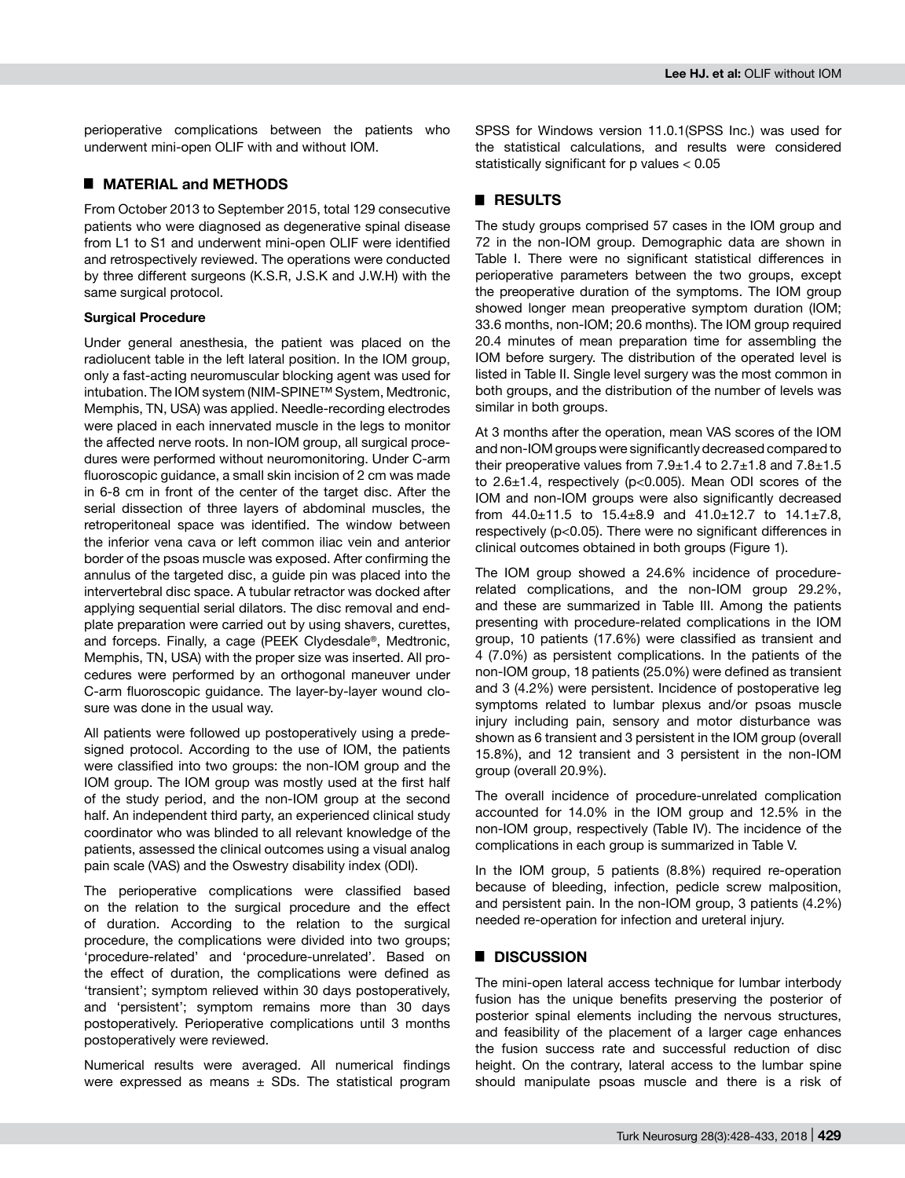perioperative complications between the patients who underwent mini-open OLIF with and without IOM.

## █ **MATERIAL and METHODS**

From October 2013 to September 2015, total 129 consecutive patients who were diagnosed as degenerative spinal disease from L1 to S1 and underwent mini-open OLIF were identified and retrospectively reviewed. The operations were conducted by three different surgeons (K.S.R, J.S.K and J.W.H) with the same surgical protocol.

#### **Surgical Procedure**

Under general anesthesia, the patient was placed on the radiolucent table in the left lateral position. In the IOM group, only a fast-acting neuromuscular blocking agent was used for intubation. The IOM system (NIM-SPINE™ System, Medtronic, Memphis, TN, USA) was applied. Needle-recording electrodes were placed in each innervated muscle in the legs to monitor the affected nerve roots. In non-IOM group, all surgical procedures were performed without neuromonitoring. Under C-arm fluoroscopic guidance, a small skin incision of 2 cm was made in 6-8 cm in front of the center of the target disc. After the serial dissection of three layers of abdominal muscles, the retroperitoneal space was identified. The window between the inferior vena cava or left common iliac vein and anterior border of the psoas muscle was exposed. After confirming the annulus of the targeted disc, a guide pin was placed into the intervertebral disc space. A tubular retractor was docked after applying sequential serial dilators. The disc removal and endplate preparation were carried out by using shavers, curettes, and forceps. Finally, a cage (PEEK Clydesdale®, Medtronic, Memphis, TN, USA) with the proper size was inserted. All procedures were performed by an orthogonal maneuver under C-arm fluoroscopic guidance. The layer-by-layer wound closure was done in the usual way.

All patients were followed up postoperatively using a predesigned protocol. According to the use of IOM, the patients were classified into two groups: the non-IOM group and the IOM group. The IOM group was mostly used at the first half of the study period, and the non-IOM group at the second half. An independent third party, an experienced clinical study coordinator who was blinded to all relevant knowledge of the patients, assessed the clinical outcomes using a visual analog pain scale (VAS) and the Oswestry disability index (ODI).

The perioperative complications were classified based on the relation to the surgical procedure and the effect of duration. According to the relation to the surgical procedure, the complications were divided into two groups; 'procedure-related' and 'procedure-unrelated'. Based on the effect of duration, the complications were defined as 'transient'; symptom relieved within 30 days postoperatively, and 'persistent'; symptom remains more than 30 days postoperatively. Perioperative complications until 3 months postoperatively were reviewed.

Numerical results were averaged. All numerical findings were expressed as means  $\pm$  SDs. The statistical program SPSS for Windows version 11.0.1(SPSS Inc.) was used for the statistical calculations, and results were considered statistically significant for p values < 0.05

# █ **RESULTS**

The study groups comprised 57 cases in the IOM group and 72 in the non-IOM group. Demographic data are shown in Table I. There were no significant statistical differences in perioperative parameters between the two groups, except the preoperative duration of the symptoms. The IOM group showed longer mean preoperative symptom duration (IOM; 33.6 months, non-IOM; 20.6 months). The IOM group required 20.4 minutes of mean preparation time for assembling the IOM before surgery. The distribution of the operated level is listed in Table II. Single level surgery was the most common in both groups, and the distribution of the number of levels was similar in both groups.

At 3 months after the operation, mean VAS scores of the IOM and non-IOM groups were significantly decreased compared to their preoperative values from  $7.9 \pm 1.4$  to  $2.7 \pm 1.8$  and  $7.8 \pm 1.5$ to  $2.6\pm1.4$ , respectively (p<0.005). Mean ODI scores of the IOM and non-IOM groups were also significantly decreased from  $44.0 \pm 11.5$  to  $15.4 \pm 8.9$  and  $41.0 \pm 12.7$  to  $14.1 \pm 7.8$ , respectively (p<0.05). There were no significant differences in clinical outcomes obtained in both groups (Figure 1).

The IOM group showed a 24.6% incidence of procedurerelated complications, and the non-IOM group 29.2%, and these are summarized in Table III. Among the patients presenting with procedure-related complications in the IOM group, 10 patients (17.6%) were classified as transient and 4 (7.0%) as persistent complications. In the patients of the non-IOM group, 18 patients (25.0%) were defined as transient and 3 (4.2%) were persistent. Incidence of postoperative leg symptoms related to lumbar plexus and/or psoas muscle injury including pain, sensory and motor disturbance was shown as 6 transient and 3 persistent in the IOM group (overall 15.8%), and 12 transient and 3 persistent in the non-IOM group (overall 20.9%).

The overall incidence of procedure-unrelated complication accounted for 14.0% in the IOM group and 12.5% in the non-IOM group, respectively (Table IV). The incidence of the complications in each group is summarized in Table V.

In the IOM group, 5 patients (8.8%) required re-operation because of bleeding, infection, pedicle screw malposition, and persistent pain. In the non-IOM group, 3 patients (4.2%) needed re-operation for infection and ureteral injury.

## █ **DISCUSSION**

The mini-open lateral access technique for lumbar interbody fusion has the unique benefits preserving the posterior of posterior spinal elements including the nervous structures, and feasibility of the placement of a larger cage enhances the fusion success rate and successful reduction of disc height. On the contrary, lateral access to the lumbar spine should manipulate psoas muscle and there is a risk of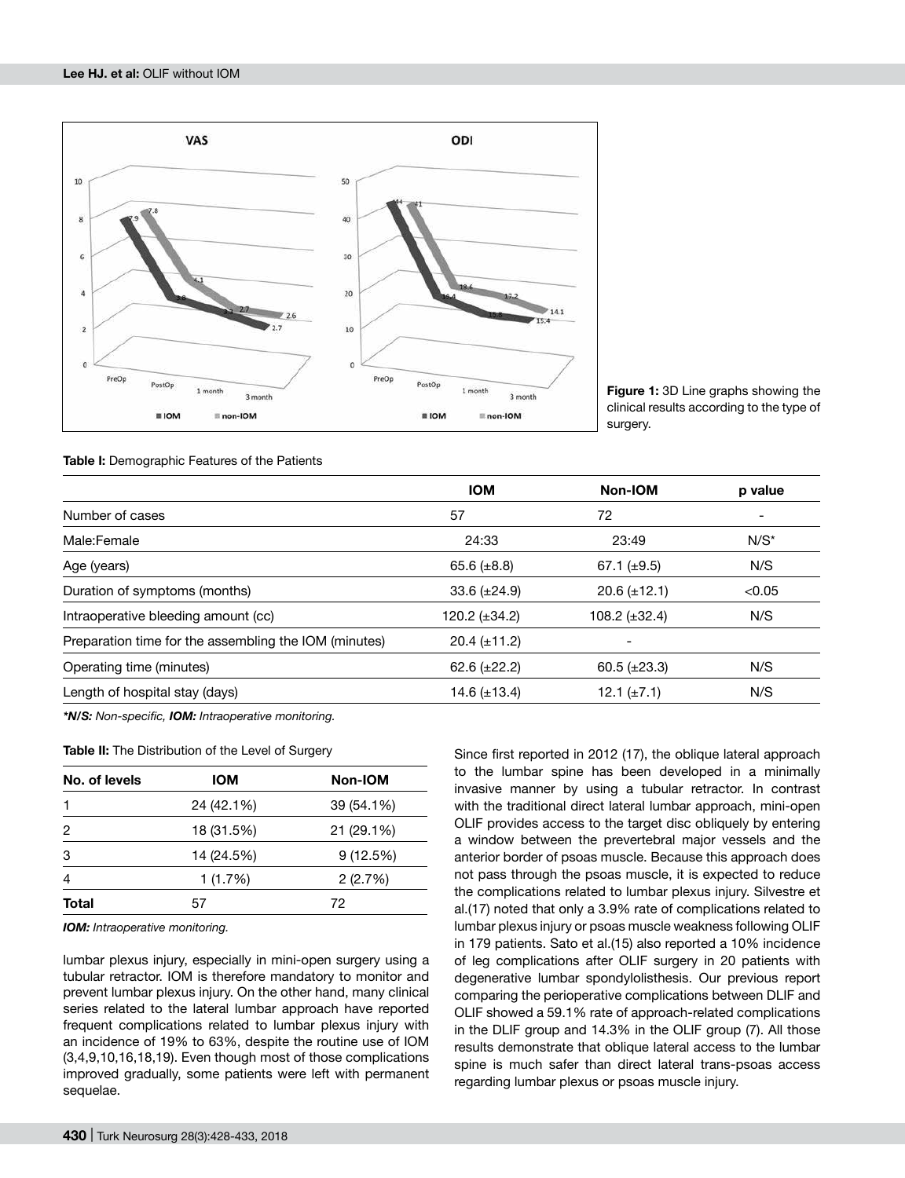

**Figure 1:** 3D Line graphs showing the clinical results according to the type of surgery.

**Table I:** Demographic Features of the Patients

| <b>IOM</b>          | Non-IOM             | p value |
|---------------------|---------------------|---------|
| 57                  | 72                  |         |
| 24:33               | 23:49               | $N/S^*$ |
| 65.6 $(\pm 8.8)$    | 67.1 $(\pm 9.5)$    | N/S     |
| 33.6 $(\pm 24.9)$   | $20.6 (\pm 12.1)$   | < 0.05  |
| 120.2 $(\pm 34.2)$  | 108.2 $(\pm 32.4)$  | N/S     |
| $20.4 \ (\pm 11.2)$ |                     |         |
| 62.6 $(\pm 22.2)$   | $60.5 \ (\pm 23.3)$ | N/S     |
| 14.6 $(\pm 13.4)$   | 12.1 $(\pm 7.1)$    | N/S     |
|                     |                     |         |

*\*N/S: Non-specific, IOM: Intraoperative monitoring.*

**Table II:** The Distribution of the Level of Surgery

| No. of levels | <b>IOM</b> | Non-IOM    |
|---------------|------------|------------|
|               | 24 (42.1%) | 39 (54.1%) |
| 2             | 18 (31.5%) | 21 (29.1%) |
| 3             | 14 (24.5%) | 9(12.5%)   |
| 4             | 1(1.7%)    | 2(2.7%)    |
| Total         | 57         | 72         |

*IOM: Intraoperative monitoring.*

lumbar plexus injury, especially in mini-open surgery using a tubular retractor. IOM is therefore mandatory to monitor and prevent lumbar plexus injury. On the other hand, many clinical series related to the lateral lumbar approach have reported frequent complications related to lumbar plexus injury with an incidence of 19% to 63%, despite the routine use of IOM (3,4,9,10,16,18,19). Even though most of those complications improved gradually, some patients were left with permanent sequelae.

Since first reported in 2012 (17), the oblique lateral approach to the lumbar spine has been developed in a minimally invasive manner by using a tubular retractor. In contrast with the traditional direct lateral lumbar approach, mini-open OLIF provides access to the target disc obliquely by entering a window between the prevertebral major vessels and the anterior border of psoas muscle. Because this approach does not pass through the psoas muscle, it is expected to reduce the complications related to lumbar plexus injury. Silvestre et al.(17) noted that only a 3.9% rate of complications related to lumbar plexus injury or psoas muscle weakness following OLIF in 179 patients. Sato et al.(15) also reported a 10% incidence of leg complications after OLIF surgery in 20 patients with degenerative lumbar spondylolisthesis. Our previous report comparing the perioperative complications between DLIF and OLIF showed a 59.1% rate of approach-related complications in the DLIF group and 14.3% in the OLIF group (7). All those results demonstrate that oblique lateral access to the lumbar spine is much safer than direct lateral trans-psoas access regarding lumbar plexus or psoas muscle injury.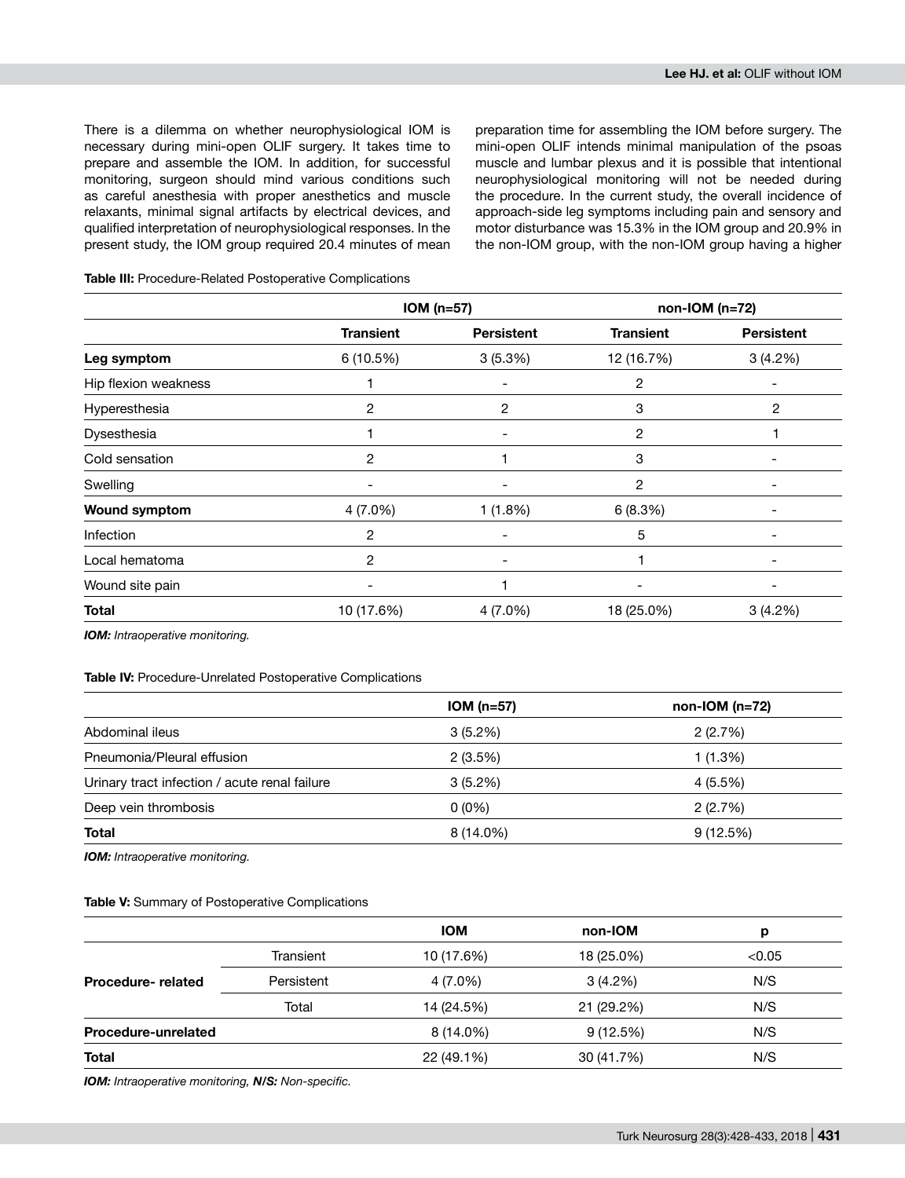There is a dilemma on whether neurophysiological IOM is necessary during mini-open OLIF surgery. It takes time to prepare and assemble the IOM. In addition, for successful monitoring, surgeon should mind various conditions such as careful anesthesia with proper anesthetics and muscle relaxants, minimal signal artifacts by electrical devices, and qualified interpretation of neurophysiological responses. In the present study, the IOM group required 20.4 minutes of mean preparation time for assembling the IOM before surgery. The mini-open OLIF intends minimal manipulation of the psoas muscle and lumbar plexus and it is possible that intentional neurophysiological monitoring will not be needed during the procedure. In the current study, the overall incidence of approach-side leg symptoms including pain and sensory and motor disturbance was 15.3% in the IOM group and 20.9% in the non-IOM group, with the non-IOM group having a higher

### **Table III:** Procedure-Related Postoperative Complications

|                      | $ION(n=57)$              |                              | $non-IOM(n=72)$  |                   |
|----------------------|--------------------------|------------------------------|------------------|-------------------|
|                      | <b>Transient</b>         | <b>Persistent</b>            | <b>Transient</b> | <b>Persistent</b> |
| Leg symptom          | 6 (10.5%)                | 3(5.3%)                      | 12 (16.7%)       | 3(4.2%)           |
| Hip flexion weakness |                          |                              | 2                |                   |
| Hyperesthesia        | 2                        | 2                            | 3                | 2                 |
| Dysesthesia          |                          | $\overline{\phantom{a}}$     | 2                |                   |
| Cold sensation       | 2                        |                              | 3                |                   |
| Swelling             | $\overline{\phantom{a}}$ | $\qquad \qquad \blacksquare$ | $\overline{c}$   | -                 |
| <b>Wound symptom</b> | 4 (7.0%)                 |                              | 6(8.3%)          |                   |
| Infection            | 2                        |                              | 5                |                   |
| Local hematoma       | 2                        | $\overline{\phantom{a}}$     |                  |                   |
| Wound site pain      |                          |                              |                  |                   |
| <b>Total</b>         | 10 (17.6%)               | 4 (7.0%)                     | 18 (25.0%)       | 3(4.2%)           |

*IOM: Intraoperative monitoring.*

#### **Table IV:** Procedure-Unrelated Postoperative Complications

| $ION(n=57)$ | $non-IOM(n=72)$ |
|-------------|-----------------|
| $3(5.2\%)$  | 2(2.7%)         |
| 2(3.5%)     | 1 (1.3%)        |
| $3(5.2\%)$  | 4 (5.5%)        |
| $0(0\%)$    | 2(2.7%)         |
| 8 (14.0%)   | 9(12.5%)        |
|             |                 |

*IOM: Intraoperative monitoring.*

#### **Table V:** Summary of Postoperative Complications

|                     |            | <b>IOM</b> | non-IOM    | р      |
|---------------------|------------|------------|------------|--------|
|                     | Transient  | 10 (17.6%) | 18 (25.0%) | < 0.05 |
| Procedure-related   | Persistent | 4 (7.0%)   | 3(4.2%)    | N/S    |
|                     | Total      | 14 (24.5%) | 21 (29.2%) | N/S    |
| Procedure-unrelated |            | 8 (14.0%)  | 9(12.5%)   | N/S    |
| <b>Total</b>        |            | 22 (49.1%) | 30 (41.7%) | N/S    |

*IOM: Intraoperative monitoring, N/S: Non-specific.*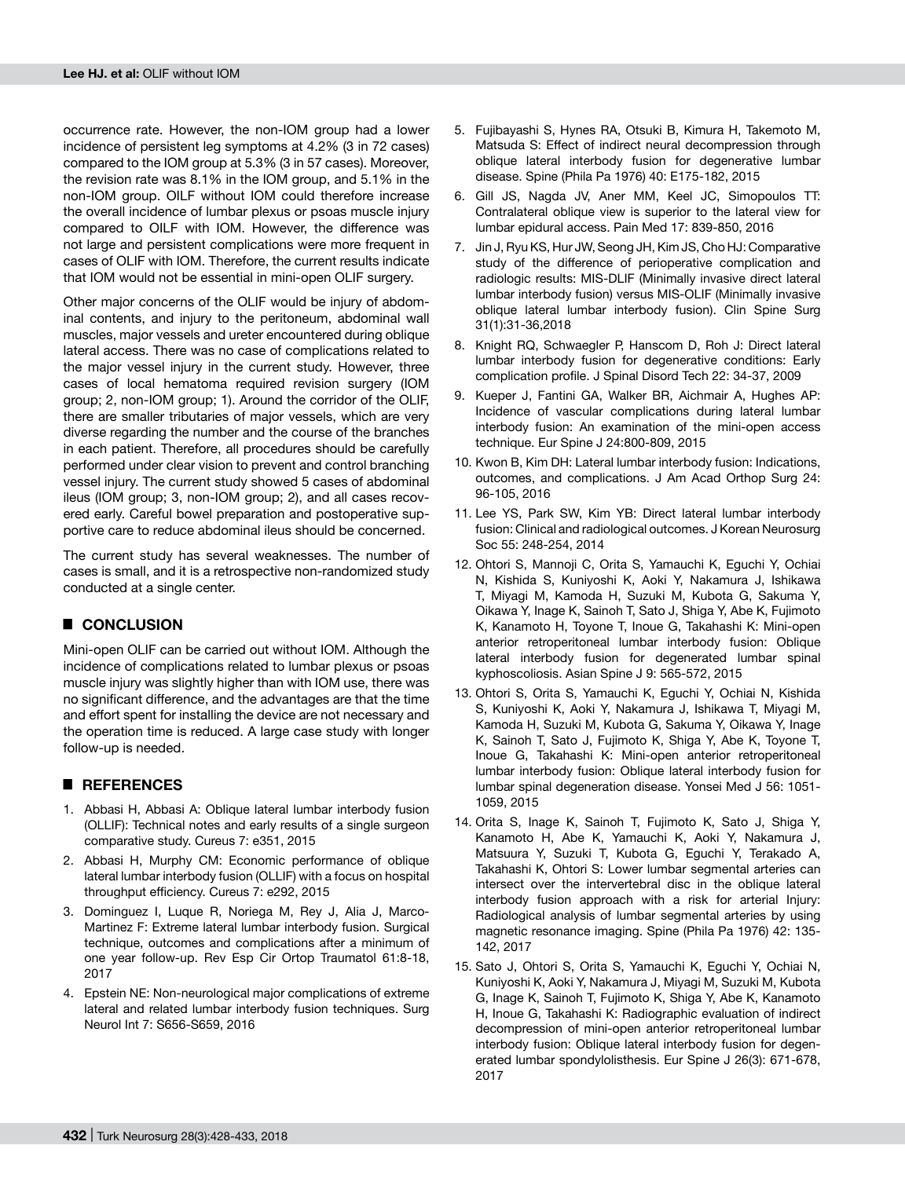occurrence rate. However, the non-IOM group had a lower incidence of persistent leg symptoms at 4.2% (3 in 72 cases) compared to the IOM group at 5.3% (3 in 57 cases). Moreover, the revision rate was 8.1% in the IOM group, and 5.1% in the non-IOM group. OILF without IOM could therefore increase the overall incidence of lumbar plexus or psoas muscle injury compared to OILF with IOM. However, the difference was not large and persistent complications were more frequent in cases of OLIF with IOM. Therefore, the current results indicate that IOM would not be essential in mini-open OLIF surgery.

Other major concerns of the OLIF would be injury of abdominal contents, and injury to the peritoneum, abdominal wall muscles, major vessels and ureter encountered during oblique lateral access. There was no case of complications related to the major vessel injury in the current study. However, three cases of local hematoma required revision surgery (IOM group; 2, non-IOM group; 1). Around the corridor of the OLIF, there are smaller tributaries of major vessels, which are very diverse regarding the number and the course of the branches in each patient. Therefore, all procedures should be carefully performed under clear vision to prevent and control branching vessel injury. The current study showed 5 cases of abdominal ileus (IOM group; 3, non-IOM group; 2), and all cases recovered early. Careful bowel preparation and postoperative supportive care to reduce abdominal ileus should be concerned.

The current study has several weaknesses. The number of cases is small, and it is a retrospective non-randomized study conducted at a single center.

# █ **CONCLUSION**

Mini-open OLIF can be carried out without IOM. Although the incidence of complications related to lumbar plexus or psoas muscle injury was slightly higher than with IOM use, there was no significant difference, and the advantages are that the time and effort spent for installing the device are not necessary and the operation time is reduced. A large case study with longer follow-up is needed.

# █ **REFERENCES**

- 1. Abbasi H, Abbasi A: Oblique lateral lumbar interbody fusion (OLLIF): Technical notes and early results of a single surgeon comparative study. Cureus 7: e351, 2015
- 2. Abbasi H, Murphy CM: Economic performance of oblique lateral lumbar interbody fusion (OLLIF) with a focus on hospital throughput efficiency. Cureus 7: e292, 2015
- 3. Dominguez I, Luque R, Noriega M, Rey J, Alia J, Marco-Martinez F: Extreme lateral lumbar interbody fusion. Surgical technique, outcomes and complications after a minimum of one year follow-up. Rev Esp Cir Ortop Traumatol 61:8-18, 2017
- 4. Epstein NE: Non-neurological major complications of extreme lateral and related lumbar interbody fusion techniques. Surg Neurol Int 7: S656-S659, 2016
- 5. Fujibayashi S, Hynes RA, Otsuki B, Kimura H, Takemoto M, Matsuda S: Effect of indirect neural decompression through oblique lateral interbody fusion for degenerative lumbar disease. Spine (Phila Pa 1976) 40: E175-182, 2015
- 6. Gill JS, Nagda JV, Aner MM, Keel JC, Simopoulos TT: Contralateral oblique view is superior to the lateral view for lumbar epidural access. Pain Med 17: 839-850, 2016
- 7. Jin J, Ryu KS, Hur JW, Seong JH, Kim JS, Cho HJ: Comparative study of the difference of perioperative complication and radiologic results: MIS-DLIF (Minimally invasive direct lateral lumbar interbody fusion) versus MIS-OLIF (Minimally invasive oblique lateral lumbar interbody fusion). Clin Spine Surg 31(1):31-36,2018
- 8. Knight RQ, Schwaegler P, Hanscom D, Roh J: Direct lateral lumbar interbody fusion for degenerative conditions: Early complication profile. J Spinal Disord Tech 22: 34-37, 2009
- 9. Kueper J, Fantini GA, Walker BR, Aichmair A, Hughes AP: Incidence of vascular complications during lateral lumbar interbody fusion: An examination of the mini-open access technique. Eur Spine J 24:800-809, 2015
- 10. Kwon B, Kim DH: Lateral lumbar interbody fusion: Indications, outcomes, and complications. J Am Acad Orthop Surg 24: 96-105, 2016
- 11. Lee YS, Park SW, Kim YB: Direct lateral lumbar interbody fusion: Clinical and radiological outcomes. J Korean Neurosurg Soc 55: 248-254, 2014
- 12. Ohtori S, Mannoji C, Orita S, Yamauchi K, Eguchi Y, Ochiai N, Kishida S, Kuniyoshi K, Aoki Y, Nakamura J, Ishikawa T, Miyagi M, Kamoda H, Suzuki M, Kubota G, Sakuma Y, Oikawa Y, Inage K, Sainoh T, Sato J, Shiga Y, Abe K, Fujimoto K, Kanamoto H, Toyone T, Inoue G, Takahashi K: Mini-open anterior retroperitoneal lumbar interbody fusion: Oblique lateral interbody fusion for degenerated lumbar spinal kyphoscoliosis. Asian Spine J 9: 565-572, 2015
- 13. Ohtori S, Orita S, Yamauchi K, Eguchi Y, Ochiai N, Kishida S, Kuniyoshi K, Aoki Y, Nakamura J, Ishikawa T, Miyagi M, Kamoda H, Suzuki M, Kubota G, Sakuma Y, Oikawa Y, Inage K, Sainoh T, Sato J, Fujimoto K, Shiga Y, Abe K, Toyone T, Inoue G, Takahashi K: Mini-open anterior retroperitoneal lumbar interbody fusion: Oblique lateral interbody fusion for lumbar spinal degeneration disease. Yonsei Med J 56: 1051- 1059, 2015
- 14. Orita S, Inage K, Sainoh T, Fujimoto K, Sato J, Shiga Y, Kanamoto H, Abe K, Yamauchi K, Aoki Y, Nakamura J, Matsuura Y, Suzuki T, Kubota G, Eguchi Y, Terakado A, Takahashi K, Ohtori S: Lower lumbar segmental arteries can intersect over the intervertebral disc in the oblique lateral interbody fusion approach with a risk for arterial Injury: Radiological analysis of lumbar segmental arteries by using magnetic resonance imaging. Spine (Phila Pa 1976) 42: 135- 142, 2017
- 15. Sato J, Ohtori S, Orita S, Yamauchi K, Eguchi Y, Ochiai N, Kuniyoshi K, Aoki Y, Nakamura J, Miyagi M, Suzuki M, Kubota G, Inage K, Sainoh T, Fujimoto K, Shiga Y, Abe K, Kanamoto H, Inoue G, Takahashi K: Radiographic evaluation of indirect decompression of mini-open anterior retroperitoneal lumbar interbody fusion: Oblique lateral interbody fusion for degenerated lumbar spondylolisthesis. Eur Spine J 26(3): 671-678, 2017